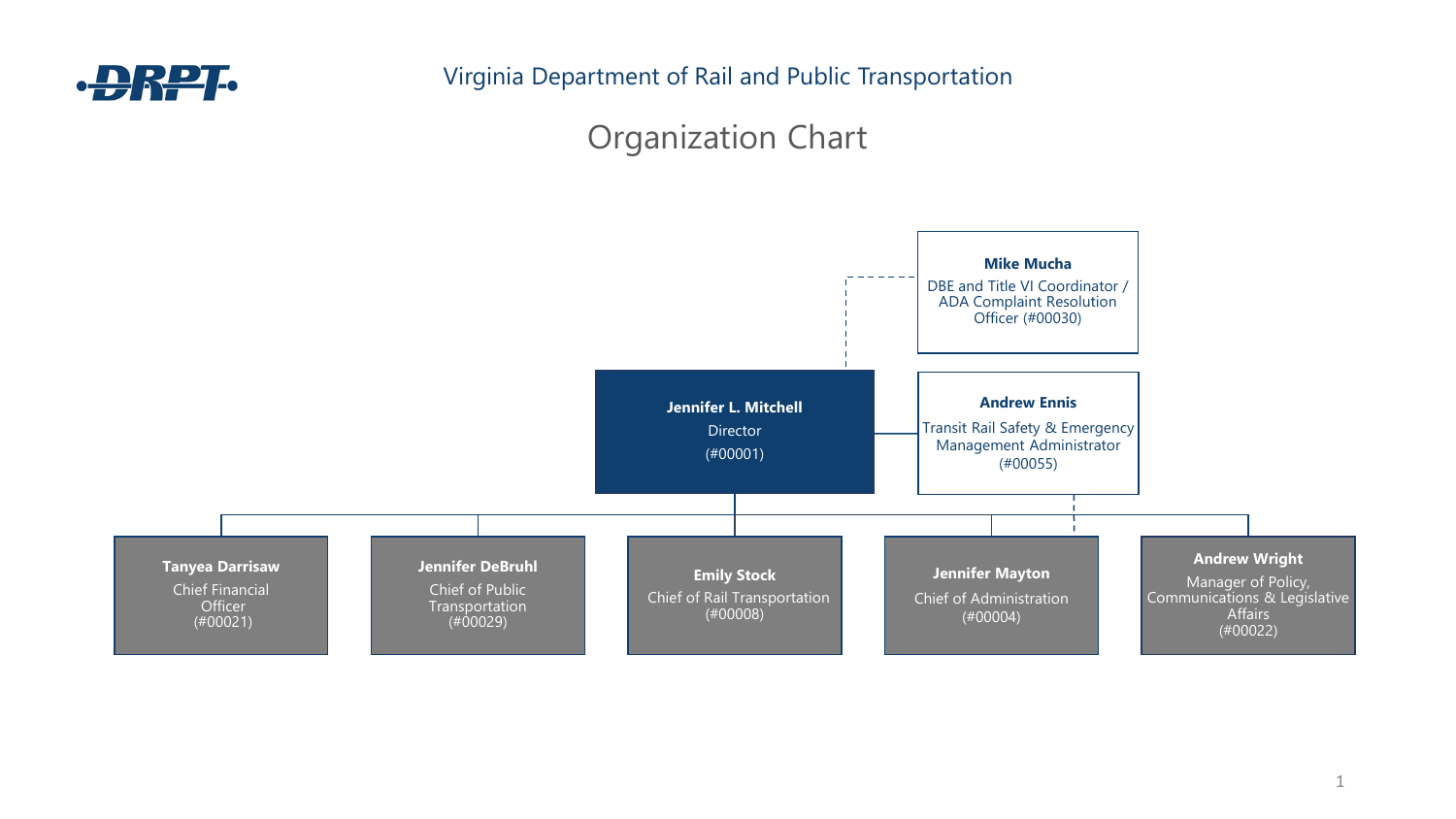

## Organization Chart

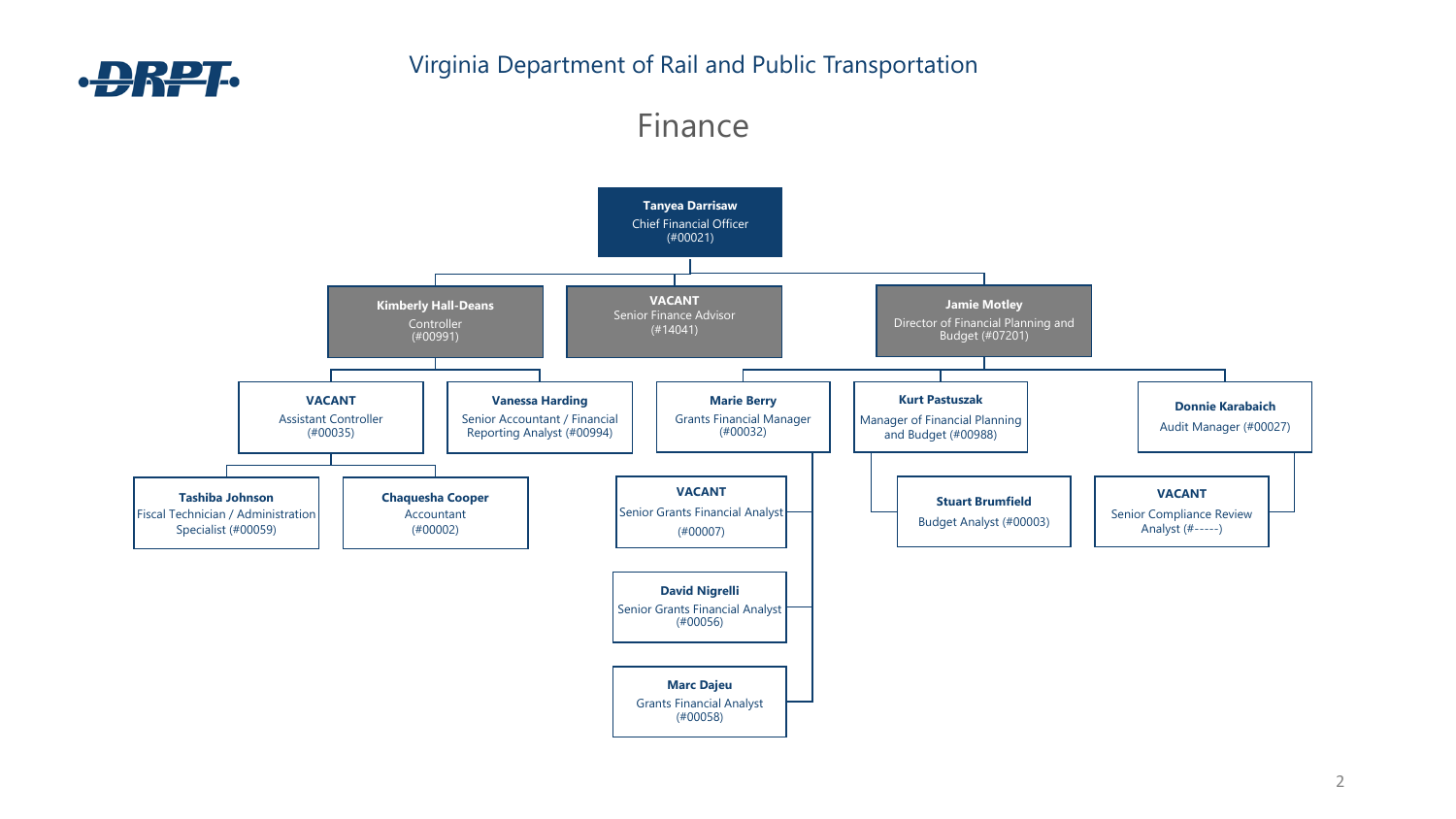

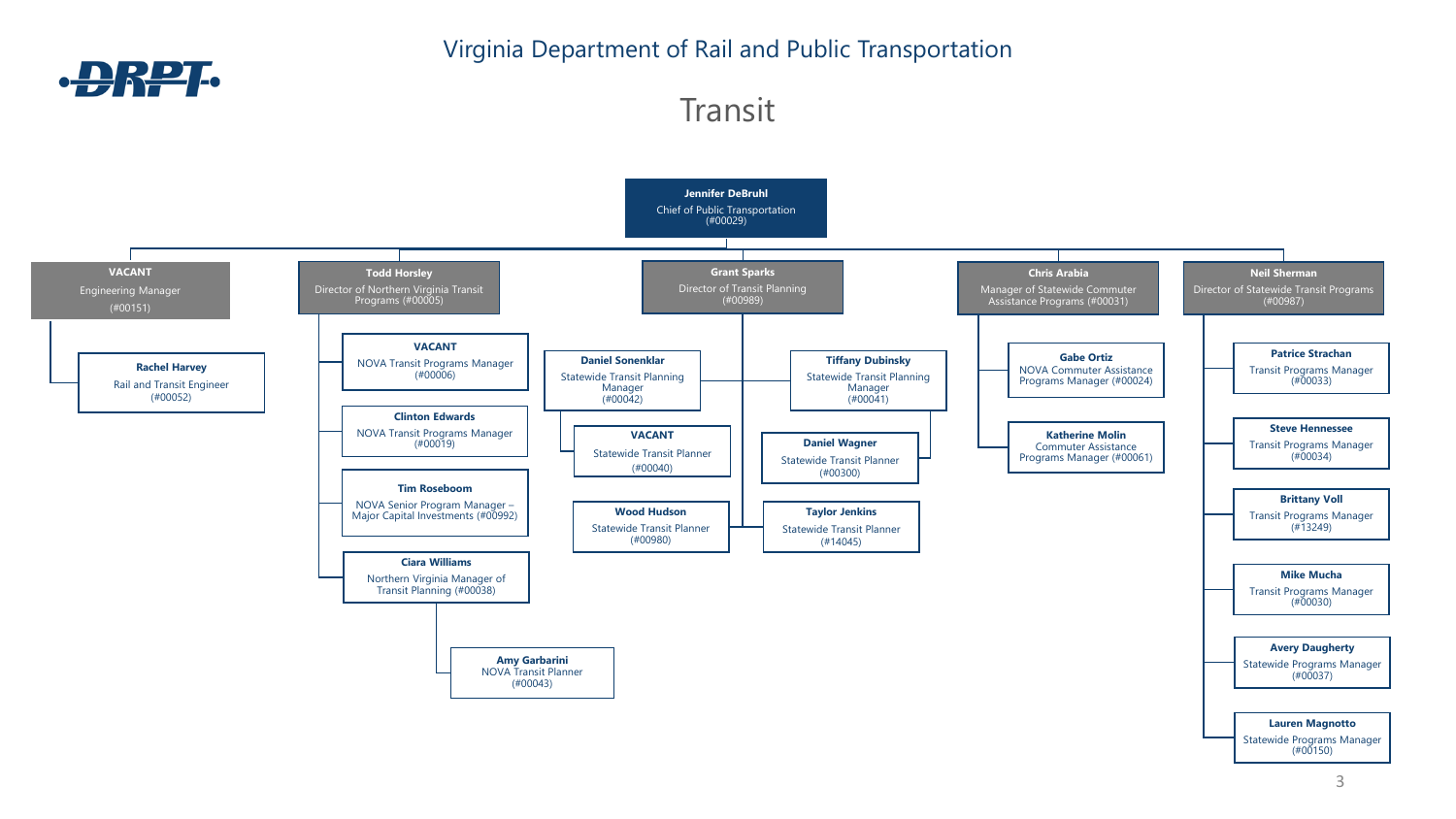

·DRPT·

**Transit** 

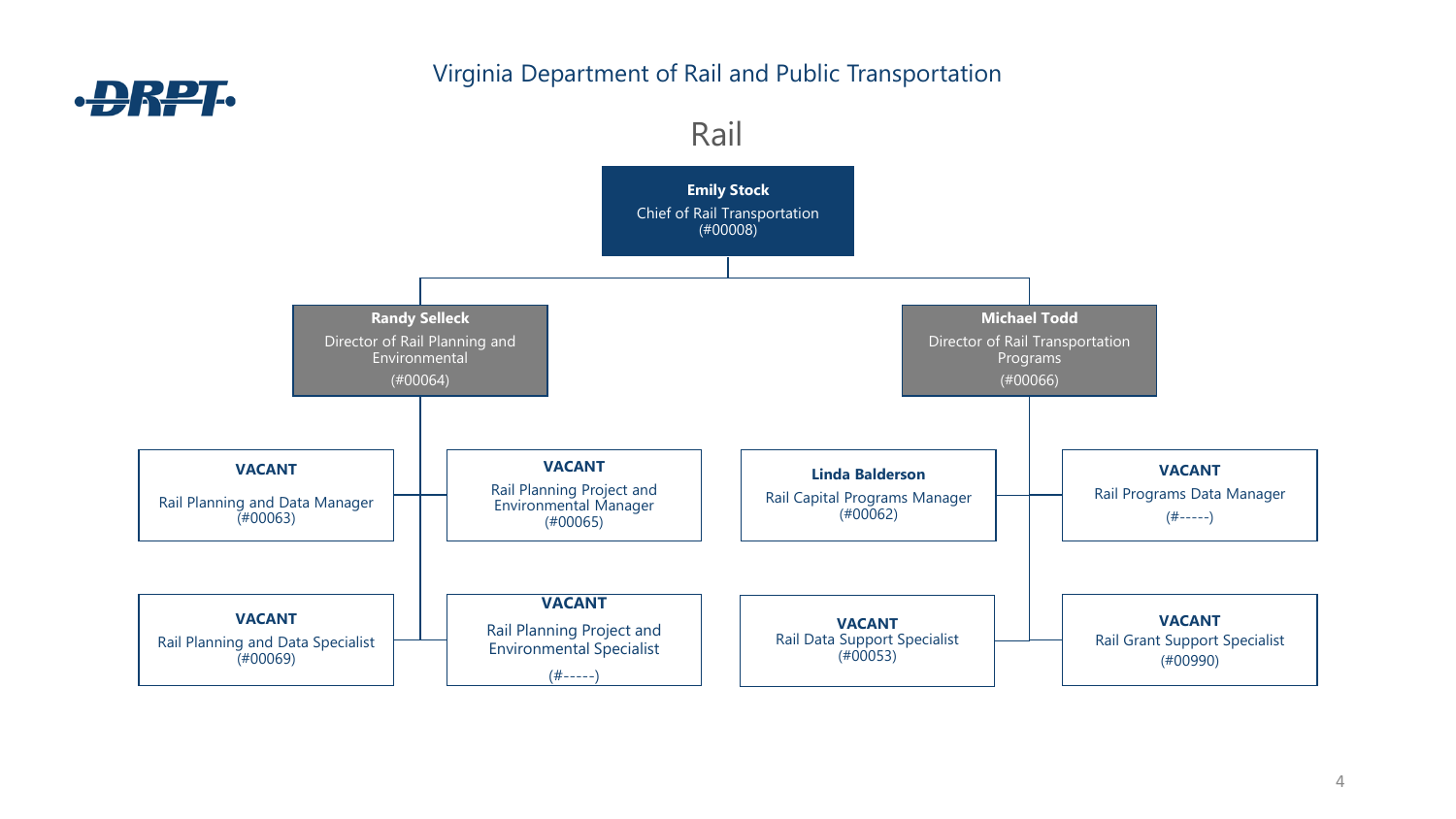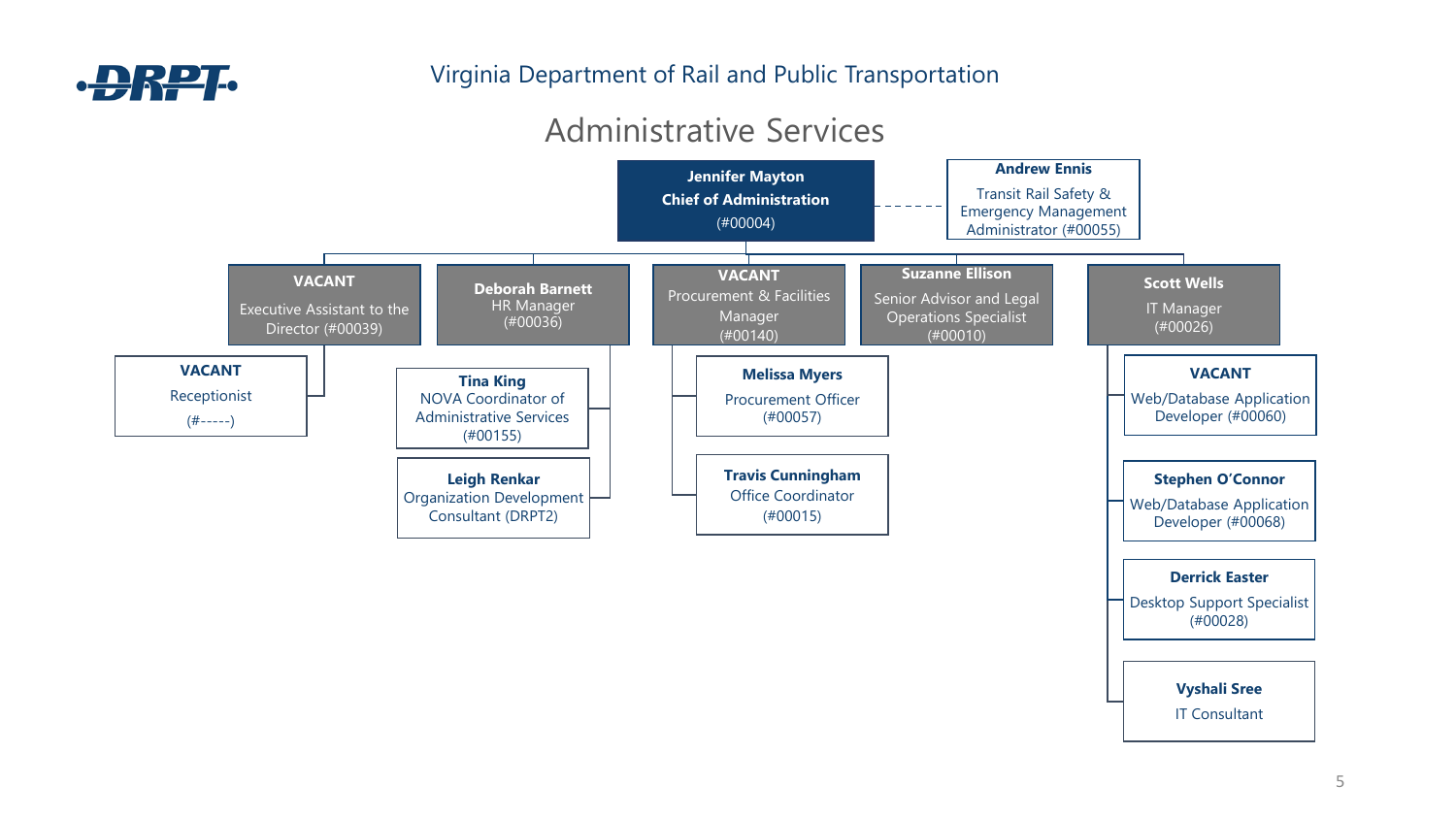

## Administrative Services



Desktop Support Specialist (#00028)